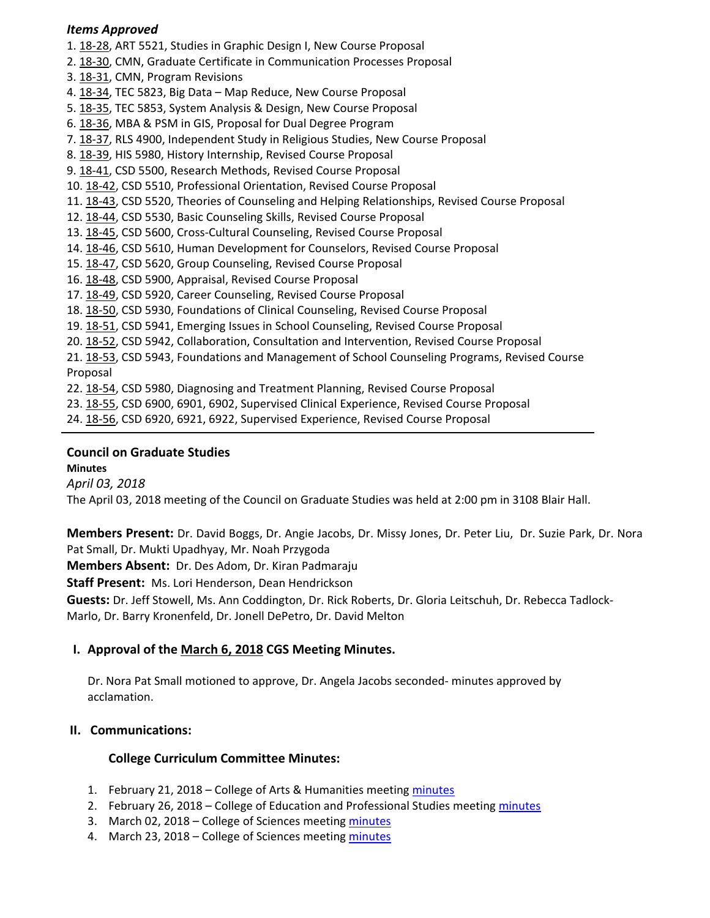#### *Items Approved*

- 1. 18‐[28,](http://castle.eiu.edu/eiucgs/currentagendaitems/agenda18-28.pdf) ART 5521, Studies in Graphic Design I, New Course Proposal
- 2. 18‐[30,](http://castle.eiu.edu/eiucgs/currentagendaitems/agenda18-30.pdf) CMN, Graduate Certificate in Communication Processes Proposal
- 3. 18‐[31,](http://castle.eiu.edu/eiucgs/currentagendaitems/agenda18-31.pdf) CMN, Program Revisions
- 4. 18-[34,](http://castle.eiu.edu/eiucgs/currentagendaitems/agenda18-34.pdf) TEC 5823, Big Data Map Reduce, New Course Proposal
- 5. 18-[35,](http://castle.eiu.edu/eiucgs/currentagendaitems/agenda18-35.pdf) TEC 5853, System Analysis & Design, New Course Proposal
- 6. [18](http://castle.eiu.edu/eiucgs/currentagendaitems/agenda18-36.pdf)‐36, MBA & PSM in GIS, Proposal for Dual Degree Program
- 7. 18‐[37,](http://castle.eiu.edu/eiucgs/currentagendaitems/agenda18-37.pdf) RLS 4900, Independent Study in Religious Studies, New Course Proposal
- 8. [18](http://castle.eiu.edu/eiucgs/currentagendaitems/agenda18-39.pdf)‐39, HIS 5980, History Internship, Revised Course Proposal
- 9. [18](http://castle.eiu.edu/eiucgs/currentagendaitems/agenda18-41.pdf)‐41, CSD 5500, Research Methods, Revised Course Proposal
- 10. 18‐[42,](http://castle.eiu.edu/eiucgs/currentagendaitems/agenda18-42.pdf) CSD 5510, Professional Orientation, Revised Course Proposal
- 11. 18‐[43,](http://castle.eiu.edu/eiucgs/currentagendaitems/agenda18-43.pdf) CSD 5520, Theories of Counseling and Helping Relationships, Revised Course Proposal
- 12. 18‐[44,](http://castle.eiu.edu/eiucgs/currentagendaitems/agenda18-44.pdf) CSD 5530, Basic Counseling Skills, Revised Course Proposal
- 13. 18‐[45,](http://castle.eiu.edu/eiucgs/currentagendaitems/agenda18-45.pdf) CSD 5600, Cross‐Cultural Counseling, Revised Course Proposal
- 14. 18‐[46,](http://castle.eiu.edu/eiucgs/currentagendaitems/agenda18-46.pdf) CSD 5610, Human Development for Counselors, Revised Course Proposal
- 15. 18‐[47,](http://castle.eiu.edu/eiucgs/currentagendaitems/agenda18-47.pdf) CSD 5620, Group Counseling, Revised Course Proposal
- 16. 18‐[48,](http://castle.eiu.edu/eiucgs/currentagendaitems/agenda18-48.pdf) CSD 5900, Appraisal, Revised Course Proposal
- 17. 18‐[49,](http://castle.eiu.edu/eiucgs/currentagendaitems/agenda18-49.pdf) CSD 5920, Career Counseling, Revised Course Proposal
- 18. 18‐[50,](http://castle.eiu.edu/eiucgs/currentagendaitems/agenda18-50.pdf) CSD 5930, Foundations of Clinical Counseling, Revised Course Proposal
- 19. 18‐[51,](http://castle.eiu.edu/eiucgs/currentagendaitems/agenda18-51.pdf) CSD 5941, Emerging Issues in School Counseling, Revised Course Proposal
- 20. 18‐[52,](http://castle.eiu.edu/eiucgs/currentagendaitems/agenda18-52.pdf) CSD 5942, Collaboration, Consultation and Intervention, Revised Course Proposal
- 21. 18-[53,](http://castle.eiu.edu/eiucgs/currentagendaitems/agenda18-53.pdf) CSD 5943, Foundations and Management of School Counseling Programs, Revised Course Proposal
- 22. 18‐[54,](http://castle.eiu.edu/eiucgs/currentagendaitems/agenda18-54.pdf) CSD 5980, Diagnosing and Treatment Planning, Revised Course Proposal
- 23. 18‐[55,](http://castle.eiu.edu/eiucgs/currentagendaitems/agenda18-55.pdf) CSD 6900, 6901, 6902, Supervised Clinical Experience, Revised Course Proposal
- 24. 18‐[56,](http://castle.eiu.edu/eiucgs/currentagendaitems/agenda18-56.pdf) CSD 6920, 6921, 6922, Supervised Experience, Revised Course Proposal

## **Council on Graduate Studies**

**Minutes**

*April 03, 2018*

The April 03, 2018 meeting of the Council on Graduate Studies was held at 2:00 pm in 3108 Blair Hall.

**Members Present:** Dr. David Boggs, Dr. Angie Jacobs, Dr. Missy Jones, Dr. Peter Liu, Dr. Suzie Park, Dr. Nora Pat Small, Dr. Mukti Upadhyay, Mr. Noah Przygoda

**Members Absent:** Dr. Des Adom, Dr. Kiran Padmaraju

**Staff Present:** Ms. Lori Henderson, Dean Hendrickson

**Guests:** Dr. Jeff Stowell, Ms. Ann Coddington, Dr. Rick Roberts, Dr. Gloria Leitschuh, Dr. Rebecca Tadlock‐ Marlo, Dr. Barry Kronenfeld, Dr. Jonell DePetro, Dr. David Melton

### **I. Approval of the [March](http://castle.eiu.edu/eiucgs/currentminutes/Minutes3-6-18.pdf) 6, 2018 CGS Meeting Minutes.**

Dr. Nora Pat Small motioned to approve, Dr. Angela Jacobs seconded‐ minutes approved by acclamation.

### **II. Communications:**

### **College Curriculum Committee Minutes:**

- 1. February 21, 2018 College of Arts & Humanities meeting [minutes](https://www.eiu.edu/ahcolleg/cahcc_files/2018/CAHCC_Minutes_2_21_18.pdf)
- 2. February 26, 2018 College of Education and Professional Studies meeting [minutes](http://www.eiu.edu/cepscurriculum/ay20172018/supportdocs/feb/feb26/ceps_curr_minutes_02262018.pdf)
- 3. March 02, 2018 College of Sciences meeting [minutes](https://www.eiu.edu/colsci/coscc/minutes_17/COSCC_Minutes_3_2_18.pdf)
- 4. March 23, 2018 College of Sciences meeting [minutes](https://www.eiu.edu/colsci/coscc/minutes_17/COSCC_Minutes_3_23_18.pdf)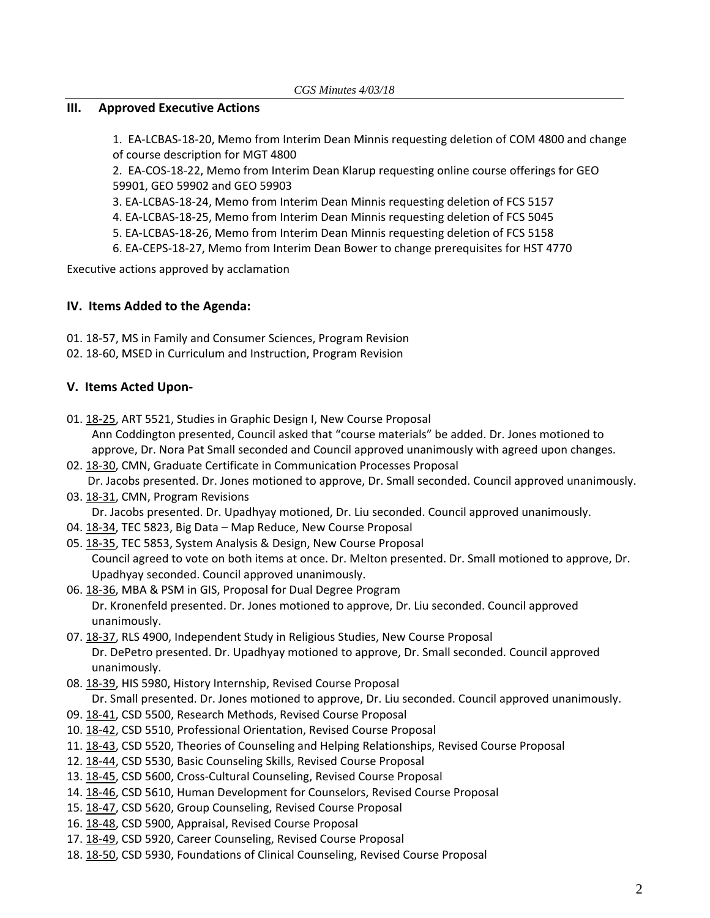### **III. Approved Executive Actions**

1. EA‐[LCBAS](http://castle.eiu.edu/~eiucgs/exec-actions/EA-LCBAS-18-20.pdf)‐18‐20, Memo from Interim Dean Minnis requesting deletion of COM 4800 and change of course description for MGT 4800

2. EA‐[COS](http://castle.eiu.edu/~eiucgs/exec-actions/EA-COS-18-22.pdf)‐18‐22, Memo from Interim Dean Klarup requesting online course offerings for GEO 59901, GEO 59902 and GEO 59903

3. EA‐[LCBAS](http://castle.eiu.edu/~eiucgs/exec-actions/EA-LCBAS-18-24.pdf)‐18‐24, Memo from Interim Dean Minnis requesting deletion of FCS 5157

4. EA‐[LCBAS](http://castle.eiu.edu/~eiucgs/exec-actions/EA-LCBAS-18-25.pdf)‐18‐25, Memo from Interim Dean Minnis requesting deletion of FCS 5045

- 5. EA‐[LCBAS](http://castle.eiu.edu/~eiucgs/exec-actions/EA-LCBAS-18-26.pdf)‐18‐26, Memo from Interim Dean Minnis requesting deletion of FCS 5158
- 6. EA‐[CEPS](http://castle.eiu.edu/~eiucgs/exec-actions/EA-CEPS-18-27.pdf)‐18‐27, Memo from Interim Dean Bower to change prerequisites for HST 4770

Executive actions approved by acclamation

### **IV. Items Added to the Agenda:**

- 01. 18‐[57,](http://castle.eiu.edu/eiucgs/currentagendaitems/agenda18-57.pdf) MS in Family and Consumer Sciences, Program Revision
- 02. 18‐[60,](http://castle.eiu.edu/eiucgs/currentagendaitems/agenda18-60.pdf) MSED in Curriculum and Instruction, Program Revision

# **V. Items Acted Upon‐**

- 01. 18‐[25,](http://castle.eiu.edu/eiucgs/currentagendaitems/agenda18-25.pdf) ART 5521, Studies in Graphic Design I, New Course Proposal Ann Coddington presented, Council asked that "course materials" be added. Dr. Jones motioned to approve, Dr. Nora Pat Small seconded and Council approved unanimously with agreed upon changes.
- 02. 18‐[30,](http://castle.eiu.edu/eiucgs/currentagendaitems/agenda18-30.pdf) CMN, Graduate Certificate in Communication Processes Proposal Dr. Jacobs presented. Dr. Jones motioned to approve, Dr. Small seconded. Council approved unanimously.
- 03. 18-[31,](http://castle.eiu.edu/eiucgs/currentagendaitems/agenda18-31.pdf) CMN, Program Revisions Dr. Jacobs presented. Dr. Upadhyay motioned, Dr. Liu seconded. Council approved unanimously.
- 04. 18-[34,](http://castle.eiu.edu/eiucgs/currentagendaitems/agenda18-34.pdf) TEC 5823, Big Data Map Reduce, New Course Proposal
- 05. 18‐[35,](http://castle.eiu.edu/eiucgs/currentagendaitems/agenda18-35.pdf) TEC 5853, System Analysis & Design, New Course Proposal Council agreed to vote on both items at once. Dr. Melton presented. Dr. Small motioned to approve, Dr. Upadhyay seconded. Council approved unanimously.
- 06. 18‐[36,](http://castle.eiu.edu/eiucgs/currentagendaitems/agenda18-36.pdf) MBA & PSM in GIS, Proposal for Dual Degree Program Dr. Kronenfeld presented. Dr. Jones motioned to approve, Dr. Liu seconded. Council approved unanimously.
- 07. 18‐[37,](http://castle.eiu.edu/eiucgs/currentagendaitems/agenda18-37.pdf) RLS 4900, Independent Study in Religious Studies, New Course Proposal Dr. DePetro presented. Dr. Upadhyay motioned to approve, Dr. Small seconded. Council approved unanimously.
- 08. [18](http://castle.eiu.edu/eiucgs/currentagendaitems/agenda18-39.pdf)‐39, HIS 5980, History Internship, Revised Course Proposal Dr. Small presented. Dr. Jones motioned to approve, Dr. Liu seconded. Council approved unanimously.
- 09. 18‐[41,](http://castle.eiu.edu/eiucgs/currentagendaitems/agenda18-41.pdf) CSD 5500, Research Methods, Revised Course Proposal
- 10. 18‐[42,](http://castle.eiu.edu/eiucgs/currentagendaitems/agenda18-42.pdf) CSD 5510, Professional Orientation, Revised Course Proposal
- 11. 18‐[43,](http://castle.eiu.edu/eiucgs/currentagendaitems/agenda18-43.pdf) CSD 5520, Theories of Counseling and Helping Relationships, Revised Course Proposal
- 12. 18‐[44,](http://castle.eiu.edu/eiucgs/currentagendaitems/agenda18-44.pdf) CSD 5530, Basic Counseling Skills, Revised Course Proposal
- 13. 18‐[45,](http://castle.eiu.edu/eiucgs/currentagendaitems/agenda18-45.pdf) CSD 5600, Cross‐Cultural Counseling, Revised Course Proposal
- 14. 18‐[46,](http://castle.eiu.edu/eiucgs/currentagendaitems/agenda18-46.pdf) CSD 5610, Human Development for Counselors, Revised Course Proposal
- 15. 18-[47,](http://castle.eiu.edu/eiucgs/currentagendaitems/agenda18-47.pdf) CSD 5620, Group Counseling, Revised Course Proposal
- 16. 18‐[48,](http://castle.eiu.edu/eiucgs/currentagendaitems/agenda18-48.pdf) CSD 5900, Appraisal, Revised Course Proposal
- 17. 18-[49,](http://castle.eiu.edu/eiucgs/currentagendaitems/agenda18-49.pdf) CSD 5920, Career Counseling, Revised Course Proposal
- 18. 18-[50,](http://castle.eiu.edu/eiucgs/currentagendaitems/agenda18-50.pdf) CSD 5930, Foundations of Clinical Counseling, Revised Course Proposal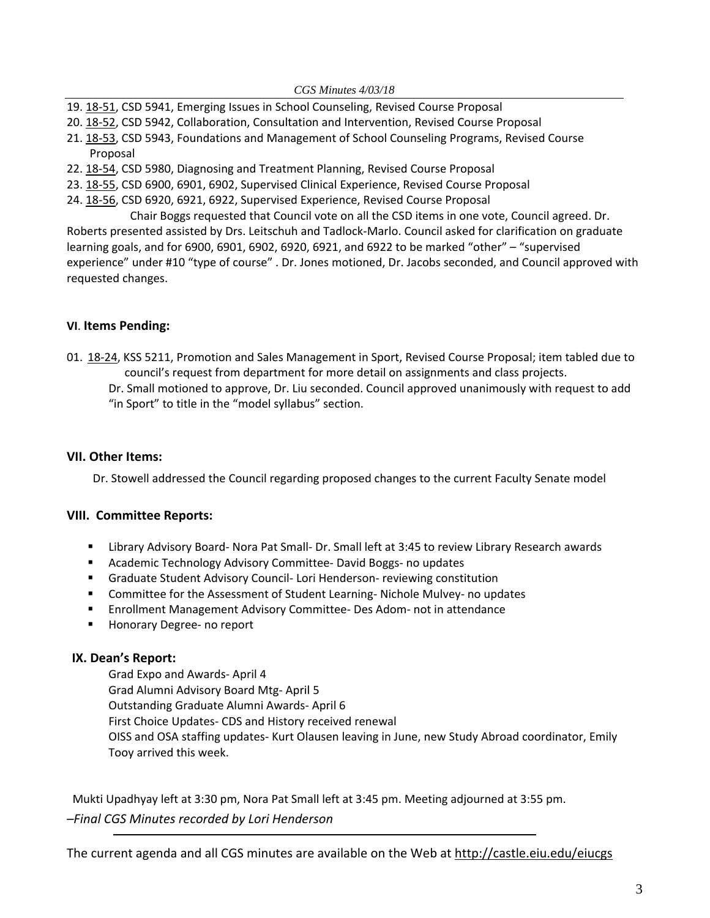*CGS Minutes 4/03/18* 

- 19. [18](http://castle.eiu.edu/eiucgs/currentagendaitems/agenda18-51.pdf)-51, CSD 5941, Emerging Issues in School Counseling, Revised Course Proposal
- 20. 18‐[52,](http://castle.eiu.edu/eiucgs/currentagendaitems/agenda18-52.pdf) CSD 5942, Collaboration, Consultation and Intervention, Revised Course Proposal
- 21. 18‐[53,](http://castle.eiu.edu/eiucgs/currentagendaitems/agenda18-53.pdf) CSD 5943, Foundations and Management of School Counseling Programs, Revised Course Proposal
- 22. 18‐[54,](http://castle.eiu.edu/eiucgs/currentagendaitems/agenda18-54.pdf) CSD 5980, Diagnosing and Treatment Planning, Revised Course Proposal
- 23. 18‐[55,](http://castle.eiu.edu/eiucgs/currentagendaitems/agenda18-55.pdf) CSD 6900, 6901, 6902, Supervised Clinical Experience, Revised Course Proposal
- 24. 18‐[56,](http://castle.eiu.edu/eiucgs/currentagendaitems/agenda18-56.pdf) CSD 6920, 6921, 6922, Supervised Experience, Revised Course Proposal

 Chair Boggs requested that Council vote on all the CSD items in one vote, Council agreed. Dr. Roberts presented assisted by Drs. Leitschuh and Tadlock‐Marlo. Council asked for clarification on graduate learning goals, and for 6900, 6901, 6902, 6920, 6921, and 6922 to be marked "other" – "supervised experience" under #10 "type of course" . Dr. Jones motioned, Dr. Jacobs seconded, and Council approved with requested changes.

### **VI**. **Items Pending:**

- 01. 18-[24,](http://castle.eiu.edu/eiucgs/currentagendaitems/agenda18-24.pdf) KSS 5211, Promotion and Sales Management in Sport, Revised Course Proposal; item tabled due to council's request from department for more detail on assignments and class projects.
	- Dr. Small motioned to approve, Dr. Liu seconded. Council approved unanimously with request to add
	- "in Sport" to title in the "model syllabus" section.

#### **VII. Other Items:**

Dr. Stowell addressed the Council regarding proposed changes to the current Faculty Senate model

### **VIII. Committee Reports:**

- Library Advisory Board- Nora Pat Small- Dr. Small left at 3:45 to review Library Research awards
- Academic Technology Advisory Committee-David Boggs- no updates
- Graduate Student Advisory Council-Lori Henderson-reviewing constitution
- Committee for the Assessment of Student Learning- Nichole Mulvey- no updates
- Enrollment Management Advisory Committee- Des Adom- not in attendance
- Honorary Degree- no report

### **IX. Dean's Report:**

Grad Expo and Awards‐ April 4 Grad Alumni Advisory Board Mtg‐ April 5 Outstanding Graduate Alumni Awards‐ April 6 First Choice Updates‐ CDS and History received renewal OISS and OSA staffing updates‐ Kurt Olausen leaving in June, new Study Abroad coordinator, Emily Tooy arrived this week.

 Mukti Upadhyay left at 3:30 pm, Nora Pat Small left at 3:45 pm. Meeting adjourned at 3:55 pm. *–Final CGS Minutes recorded by Lori Henderson*

The current agenda and all CGS minutes are available on the Web at [http://castle.eiu.edu/eiucgs](http://castle.eiu.edu/eiucgs/)